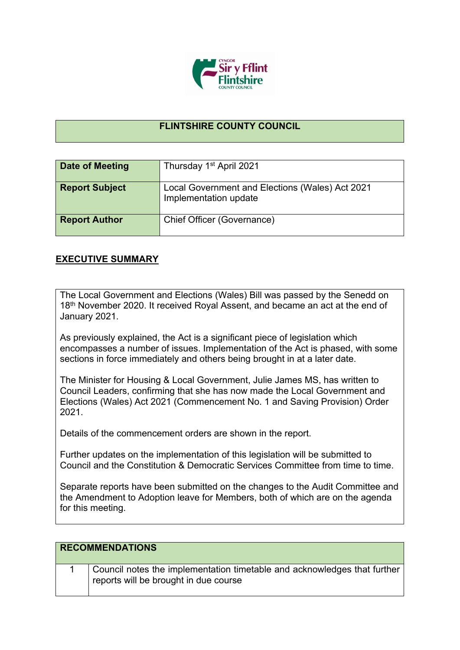

## **FLINTSHIRE COUNTY COUNCIL**

| Date of Meeting       | Thursday 1 <sup>st</sup> April 2021                                      |
|-----------------------|--------------------------------------------------------------------------|
| <b>Report Subject</b> | Local Government and Elections (Wales) Act 2021<br>Implementation update |
| <b>Report Author</b>  | Chief Officer (Governance)                                               |

## **EXECUTIVE SUMMARY**

The Local Government and Elections (Wales) Bill was passed by the Senedd on 18<sup>th</sup> November 2020. It received Royal Assent, and became an act at the end of January 2021.

As previously explained, the Act is a significant piece of legislation which encompasses a number of issues. Implementation of the Act is phased, with some sections in force immediately and others being brought in at a later date.

The Minister for Housing & Local Government, Julie James MS, has written to Council Leaders, confirming that she has now made the Local Government and Elections (Wales) Act 2021 (Commencement No. 1 and Saving Provision) Order 2021.

Details of the commencement orders are shown in the report.

Further updates on the implementation of this legislation will be submitted to Council and the Constitution & Democratic Services Committee from time to time.

Separate reports have been submitted on the changes to the Audit Committee and the Amendment to Adoption leave for Members, both of which are on the agenda for this meeting.

| <b>RECOMMENDATIONS</b> |                                                                                                                   |
|------------------------|-------------------------------------------------------------------------------------------------------------------|
|                        | Council notes the implementation timetable and acknowledges that further<br>reports will be brought in due course |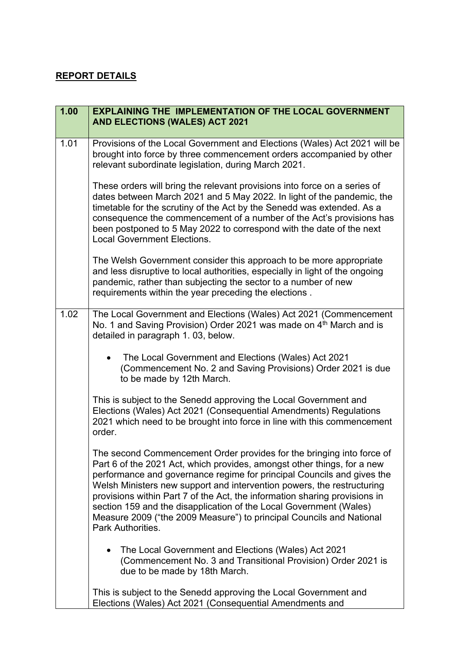## **REPORT DETAILS**

| 1.00 | <b>EXPLAINING THE IMPLEMENTATION OF THE LOCAL GOVERNMENT</b><br><b>AND ELECTIONS (WALES) ACT 2021</b>                                                                                                                                                                                                                                                                                                                                                                                                                                                 |
|------|-------------------------------------------------------------------------------------------------------------------------------------------------------------------------------------------------------------------------------------------------------------------------------------------------------------------------------------------------------------------------------------------------------------------------------------------------------------------------------------------------------------------------------------------------------|
| 1.01 | Provisions of the Local Government and Elections (Wales) Act 2021 will be<br>brought into force by three commencement orders accompanied by other<br>relevant subordinate legislation, during March 2021.                                                                                                                                                                                                                                                                                                                                             |
|      | These orders will bring the relevant provisions into force on a series of<br>dates between March 2021 and 5 May 2022. In light of the pandemic, the<br>timetable for the scrutiny of the Act by the Senedd was extended. As a<br>consequence the commencement of a number of the Act's provisions has<br>been postponed to 5 May 2022 to correspond with the date of the next<br><b>Local Government Elections.</b>                                                                                                                                   |
|      | The Welsh Government consider this approach to be more appropriate<br>and less disruptive to local authorities, especially in light of the ongoing<br>pandemic, rather than subjecting the sector to a number of new<br>requirements within the year preceding the elections.                                                                                                                                                                                                                                                                         |
| 1.02 | The Local Government and Elections (Wales) Act 2021 (Commencement<br>No. 1 and Saving Provision) Order 2021 was made on 4 <sup>th</sup> March and is<br>detailed in paragraph 1.03, below.                                                                                                                                                                                                                                                                                                                                                            |
|      | The Local Government and Elections (Wales) Act 2021<br>(Commencement No. 2 and Saving Provisions) Order 2021 is due<br>to be made by 12th March.                                                                                                                                                                                                                                                                                                                                                                                                      |
|      | This is subject to the Senedd approving the Local Government and<br>Elections (Wales) Act 2021 (Consequential Amendments) Regulations<br>2021 which need to be brought into force in line with this commencement<br>order.                                                                                                                                                                                                                                                                                                                            |
|      | The second Commencement Order provides for the bringing into force of<br>Part 6 of the 2021 Act, which provides, amongst other things, for a new<br>performance and governance regime for principal Councils and gives the<br>Welsh Ministers new support and intervention powers, the restructuring<br>provisions within Part 7 of the Act, the information sharing provisions in<br>section 159 and the disapplication of the Local Government (Wales)<br>Measure 2009 ("the 2009 Measure") to principal Councils and National<br>Park Authorities. |
|      | The Local Government and Elections (Wales) Act 2021<br>(Commencement No. 3 and Transitional Provision) Order 2021 is<br>due to be made by 18th March.                                                                                                                                                                                                                                                                                                                                                                                                 |
|      | This is subject to the Senedd approving the Local Government and<br>Elections (Wales) Act 2021 (Consequential Amendments and                                                                                                                                                                                                                                                                                                                                                                                                                          |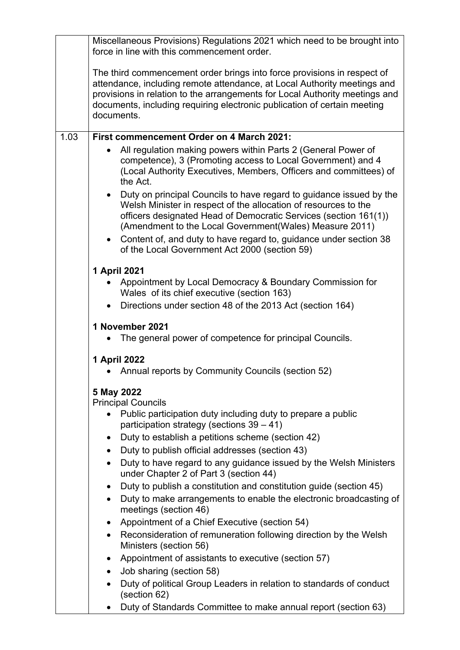|      | Miscellaneous Provisions) Regulations 2021 which need to be brought into<br>force in line with this commencement order.                                                                                                                                                                                                      |
|------|------------------------------------------------------------------------------------------------------------------------------------------------------------------------------------------------------------------------------------------------------------------------------------------------------------------------------|
|      | The third commencement order brings into force provisions in respect of<br>attendance, including remote attendance, at Local Authority meetings and<br>provisions in relation to the arrangements for Local Authority meetings and<br>documents, including requiring electronic publication of certain meeting<br>documents. |
| 1.03 | <b>First commencement Order on 4 March 2021:</b>                                                                                                                                                                                                                                                                             |
|      | All regulation making powers within Parts 2 (General Power of<br>competence), 3 (Promoting access to Local Government) and 4<br>(Local Authority Executives, Members, Officers and committees) of<br>the Act.                                                                                                                |
|      | Duty on principal Councils to have regard to guidance issued by the<br>Welsh Minister in respect of the allocation of resources to the<br>officers designated Head of Democratic Services (section 161(1))<br>(Amendment to the Local Government(Wales) Measure 2011)                                                        |
|      | • Content of, and duty to have regard to, guidance under section 38<br>of the Local Government Act 2000 (section 59)                                                                                                                                                                                                         |
|      | 1 April 2021                                                                                                                                                                                                                                                                                                                 |
|      | Appointment by Local Democracy & Boundary Commission for<br>Wales of its chief executive (section 163)                                                                                                                                                                                                                       |
|      | Directions under section 48 of the 2013 Act (section 164)<br>$\bullet$                                                                                                                                                                                                                                                       |
|      | 1 November 2021                                                                                                                                                                                                                                                                                                              |
|      | The general power of competence for principal Councils.                                                                                                                                                                                                                                                                      |
|      | 1 April 2022                                                                                                                                                                                                                                                                                                                 |
|      | Annual reports by Community Councils (section 52)                                                                                                                                                                                                                                                                            |
|      |                                                                                                                                                                                                                                                                                                                              |
|      | 5 May 2022<br><b>Principal Councils</b>                                                                                                                                                                                                                                                                                      |
|      | Public participation duty including duty to prepare a public<br>participation strategy (sections $39 - 41$ )                                                                                                                                                                                                                 |
|      | Duty to establish a petitions scheme (section 42)<br>$\bullet$                                                                                                                                                                                                                                                               |
|      | Duty to publish official addresses (section 43)<br>$\bullet$                                                                                                                                                                                                                                                                 |
|      | Duty to have regard to any guidance issued by the Welsh Ministers<br>$\bullet$<br>under Chapter 2 of Part 3 (section 44)                                                                                                                                                                                                     |
|      | Duty to publish a constitution and constitution guide (section 45)<br>$\bullet$                                                                                                                                                                                                                                              |
|      | Duty to make arrangements to enable the electronic broadcasting of<br>meetings (section 46)                                                                                                                                                                                                                                  |
|      | Appointment of a Chief Executive (section 54)<br>$\bullet$                                                                                                                                                                                                                                                                   |
|      | Reconsideration of remuneration following direction by the Welsh<br>$\bullet$<br>Ministers (section 56)                                                                                                                                                                                                                      |
|      | Appointment of assistants to executive (section 57)<br>$\bullet$                                                                                                                                                                                                                                                             |
|      | Job sharing (section 58)<br>$\bullet$                                                                                                                                                                                                                                                                                        |
|      | Duty of political Group Leaders in relation to standards of conduct<br>$\bullet$<br>(section 62)                                                                                                                                                                                                                             |
|      | Duty of Standards Committee to make annual report (section 63)                                                                                                                                                                                                                                                               |